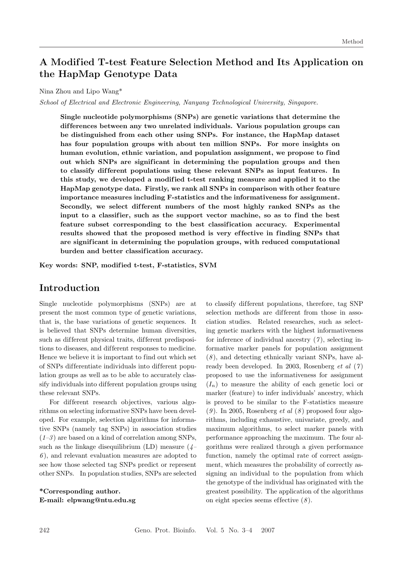# **A Modif ied T-test Feature Selection Method and Its Application on the HapMap Genotype Data**

Nina Zhou and Lipo Wang\*

*School of Electrical and Electronic Engineering, Nanyang Technological University, Singapore.*

**Single nucleotide polymorphisms (SNPs) are genetic variations that determine the dif ferences between any two unrelated individuals. Various population groups can be distinguished from each other using SNPs. For instance, the HapMap dataset has four population groups with about ten million SNPs. For more insights on** human evolution, ethnic variation, and population assignment, we propose to find **out which SNPs are signif icant in determining the population groups and then to classify dif ferent populations using these relevant SNPs as input features. In** this study, we developed a modified t-test ranking measure and applied it to the **HapMap genotype data. Firstly, we rank all SNPs in comparison with other feature importance measures including F-statistics and the informativeness for assignment.** Secondly, we select different numbers of the most highly ranked SNPs as the input to a classifier, such as the support vector machine, so as to find the best feature subset corresponding to the best classification accuracy. Experimental results showed that the proposed method is very effective in finding SNPs that **are signif icant in determining the population groups, with reduced computational burden and better classif ication accuracy.**

Key words: SNP, modified t-test, F-statistics, SVM

### **Introduction**

Single nucleotide polymorphisms (SNPs) are at present the most common type of genetic variations, that is, the base variations of genetic sequences. It is believed that SNPs determine human diversities, such as different physical traits, different predispositions to diseases, and dif ferent responses to medicine. Hence we believe it is important to find out which set of SNPs dif ferentiate individuals into dif ferent population groups as well as to be able to accurately classify individuals into dif ferent population groups using these relevant SNPs.

For different research objectives, various algorithms on selecting informative SNPs have been developed. For example, selection algorithms for informative SNPs (namely tag SNPs) in association studies  $(1-3)$  are based on a kind of correlation among SNPs, such as the linkage disequilibrium (LD) measure (*4– 6* ), and relevant evaluation measures are adopted to see how those selected tag SNPs predict or represent other SNPs. In population studies, SNPs are selected

**\*Corresponding author. E-mail: elpwang@ntu.edu.sg** to classify dif ferent populations, therefore, tag SNP selection methods are different from those in association studies. Related researches, such as selecting genetic markers with the highest informativeness for inference of individual ancestry (*7* ), selecting informative marker panels for population assignment (*8* ), and detecting ethnically variant SNPs, have already been developed. In 2003, Rosenberg *et al* (*7* ) proposed to use the informativeness for assignment  $(I_n)$  to measure the ability of each genetic loci or marker (feature) to infer individuals' ancestry, which is proved to be similar to the F-statistics measure (*9* ). In 2005, Rosenberg *et al* (*8* ) proposed four algorithms, including exhaustive, univariate, greedy, and maximum algorithms, to select marker panels with performance approaching the maximum. The four algorithms were realized through a given performance function, namely the optimal rate of correct assignment, which measures the probability of correctly assigning an individual to the population from which the genotype of the individual has originated with the greatest possibility. The application of the algorithms on eight species seems ef fective (*8* ).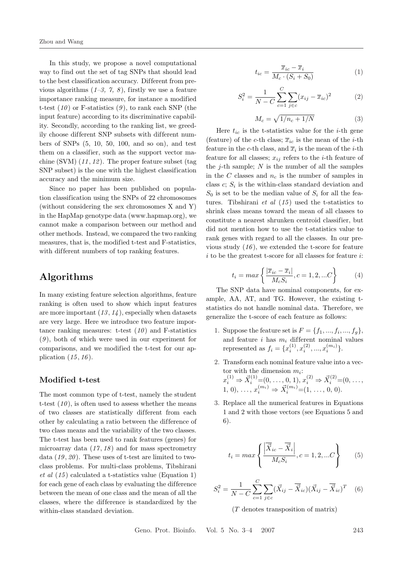In this study, we propose a novel computational way to find out the set of tag SNPs that should lead to the best classification accuracy. Different from previous algorithms (*1–3, 7, 8* ), firstly we use a feature importance ranking measure, for instance a modified t-test  $(10)$  or F-statistics  $(9)$ , to rank each SNP (the input feature) according to its discriminative capability. Secondly, according to the ranking list, we greedily choose different SNP subsets with different numbers of SNPs (5, 10, 50, 100, and so on), and test them on a classifier, such as the support vector machine (SVM) (*11* , *12* ). The proper feature subset (tag SNP subset) is the one with the highest classification accuracy and the minimum size.

Since no paper has been published on population classification using the SNPs of 22 chromosomes (without considering the sex chromosomes X and Y) in the HapMap genotype data (www.hapmap.org), we cannot make a comparison between our method and other methods. Instead, we compared the two ranking measures, that is, the modified t-test and F-statistics, with different numbers of top ranking features.

## **Algorithms**

In many existing feature selection algorithms, feature ranking is often used to show which input features are more important (*13* , *14* ), especially when datasets are very large. Here we introduce two feature importance ranking measures:  $t$ -test  $(10)$  and F-statistics (*9* ), both of which were used in our experiment for comparisons, and we modified the t-test for our application (*15* , *16* ).

#### **Modif ied t-test**

The most common type of t-test, namely the student t-test (*10* ), is often used to assess whether the means of two classes are statistically dif ferent from each other by calculating a ratio between the dif ference of two class means and the variability of the two classes. The t-test has been used to rank features (genes) for microarray data (*17* , *18* ) and for mass spectrometry data (*19* , *20* ). These uses of t-test are limited to twoclass problems. For multi-class problems, Tibshirani *et al* (*15* ) calculated a t-statistics value (Equation 1) for each gene of each class by evaluating the dif ference between the mean of one class and the mean of all the classes, where the difference is standardized by the within-class standard deviation.

$$
t_{ic} = \frac{\overline{x}_{ic} - \overline{x}_{i}}{M_c \cdot (S_i + S_0)}
$$
(1)

$$
S_i^2 = \frac{1}{N - C} \sum_{c=1}^{C} \sum_{j \in c} (x_{ij} - \overline{x}_{ic})^2
$$
 (2)

$$
M_c = \sqrt{1/n_c + 1/N} \tag{3}
$$

Here  $t_{ic}$  is the t-statistics value for the *i*-th gene (feature) of the c-th class;  $\overline{x}_{ic}$  is the mean of the *i*-th feature in the c-th class, and  $\overline{x}_i$  is the mean of the *i*-th feature for all classes;  $x_{ij}$  refers to the *i*-th feature of the  $j$ -th sample;  $N$  is the number of all the samples in the C classes and  $n_c$  is the number of samples in class  $c; S<sub>i</sub>$  is the within-class standard deviation and  $S_0$  is set to be the median value of  $S_i$  for all the features. Tibshirani *et al* (*15* ) used the t-statistics to shrink class means toward the mean of all classes to constitute a nearest shrunken centroid classifier, but did not mention how to use the t-statistics value to rank genes with regard to all the classes. In our previous study (*16* ), we extended the t-score for feature  $i$  to be the greatest t-score for all classes for feature  $i$ :

$$
t_i = \max\left\{ \frac{|\overline{x}_{ic} - \overline{x}_i|}{M_c S_i}, c = 1, 2, \dots C \right\}
$$
 (4)

The SNP data have nominal components, for example, AA, AT, and TG. However, the existing tstatistics do not handle nominal data. Therefore, we generalize the t-score of each feature as follows:

- 1. Suppose the feature set is  $F = \{f_1, ..., f_i, ..., f_q\},\$ and feature  $i$  has  $m_i$  different nominal values represented as  $f_i = \{x_i^{(1)}, x_i^{(2)}, ..., x_i^{(m_i)}\}.$
- 2. Transform each nominal feature value into a vec
	- tor with the dimension  $m_i$ :<br>  $x_i^{(1)} \Rightarrow \vec{X}_i^{(1)} = (0, \ldots, 0, 1), x_i^{(2)} \Rightarrow \vec{X}_i^{(2)} = (0, \ldots, 1, 0), \ldots, x_i^{(m_i)} \Rightarrow \vec{X}_i^{(m_i)} = (1, \ldots, 0, 0).$
- 3. Replace all the numerical features in Equations 1 and 2 with those vectors (see Equations 5 and 6).

$$
t_i = max\left\{ \frac{\left| \overrightarrow{\bar{X}}_{ic} - \overrightarrow{\bar{X}}_i \right|}{M_c S_i}, c = 1, 2, ... C \right\}
$$
 (5)

$$
S_i^2 = \frac{1}{N - C} \sum_{c=1}^{C} \sum_{j \in c} (\vec{X}_{ij} - \overline{\vec{X}}_{ic}) (\vec{X}_{ij} - \overline{\vec{X}}_{ic})^T \quad (6)
$$

(T denotes transposition of matrix)

Geno. Prot. Bioinfo. Vol. 5 No. 3–4 2007 243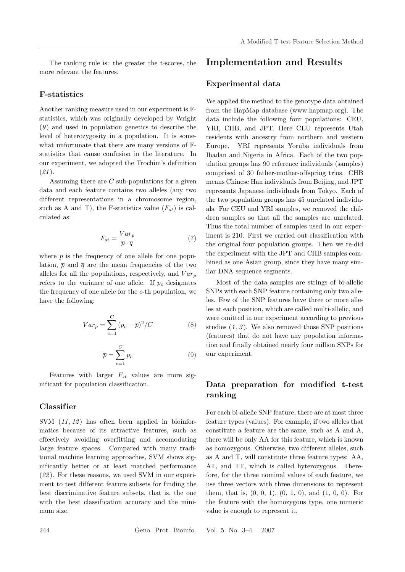The ranking rule is: the greater the t-scores, the more relevant the features.

#### **F-statistics**

Another ranking measure used in our experiment is Fstatistics, which was originally developed by Wright (*9* ) and used in population genetics to describe the level of heterozygosity in a population. It is somewhat unfortunate that there are many versions of Fstatistics that cause confusion in the literature. In our experiment, we adopted the Trochim's definition (*21* ).

Assuming there are  $C$  sub-populations for a given data and each feature contains two alleles (any two different representations in a chromosome region, such as A and T), the F-statistics value  $(F_{st})$  is calculated as:

$$
F_{st} = \frac{Var_p}{\overline{p} \cdot \overline{q}} \tag{7}
$$

where  $p$  is the frequency of one allele for one population,  $\bar{p}$  and  $\bar{q}$  are the mean frequencies of the two alleles for all the populations, respectively, and  $Var_p$ refers to the variance of one allele. If  $p_c$  designates the frequency of one allele for the c-th population, we have the following:

$$
Var_p = \sum_{c=1}^{C} (p_c - \overline{p})^2 / C
$$
 (8)

$$
\overline{p} = \sum_{c=1}^{C} p_c \tag{9}
$$

Features with larger  $F_{st}$  values are more significant for population classification.

#### **Classif ier**

SVM  $(11, 12)$  has often been applied in bioinformatics because of its attractive features, such as ef fectively avoiding overfitting and accomodating large feature spaces. Compared with many traditional machine learning approaches, SVM shows significantly better or at least matched performance (*22* ). For these reasons, we used SVM in our experiment to test different feature subsets for finding the best discriminative feature subsets, that is, the one with the best classification accuracy and the minimum size.

### **Implementation and Results**

#### **Experimental data**

We applied the method to the genotype data obtained from the HapMap database (www.hapmap.org). The data include the following four populations: CEU, YRI, CHB, and JPT. Here CEU represents Utah residents with ancestry from northern and western Europe. YRI represents Yoruba individuals from Ibadan and Nigeria in Africa. Each of the two population groups has 90 reference individuals (samples) comprised of 30 father-mother-of fspring trios. CHB means Chinese Han individuals from Beijing, and JPT represents Japanese individuals from Tokyo. Each of the two population groups has 45 unrelated individuals. For CEU and YRI samples, we removed the children samples so that all the samples are unrelated. Thus the total number of samples used in our experiment is 210. First we carried out classification with the original four population groups. Then we re-did the experiment with the JPT and CHB samples combined as one Asian group, since they have many similar DNA sequence segments.

Most of the data samples are strings of bi-allelic SNPs with each SNP feature containing only two alleles. Few of the SNP features have three or more alleles at each position, which are called multi-allelic, and were omitted in our experiment according to previous studies  $(1, 3)$ . We also removed those SNP positions (features) that do not have any popolation information and finally obtained nearly four million SNPs for our experiment.

### Data preparation for modified t-test **ranking**

For each bi-allelic SNP feature, there are at most three feature types (values). For example, if two alleles that constitute a feature are the same, such as A and A, there will be only AA for this feature, which is known as homozygous. Otherwise, two dif ferent alleles, such as A and T, will constitute three feature types: AA, AT, and TT, which is called hyterozygous. Therefore, for the three nominal values of each feature, we use three vectors with three dimensions to represent them, that is,  $(0, 0, 1)$ ,  $(0, 1, 0)$ , and  $(1, 0, 0)$ . For the feature with the homozygous type, one numeric value is enough to represent it.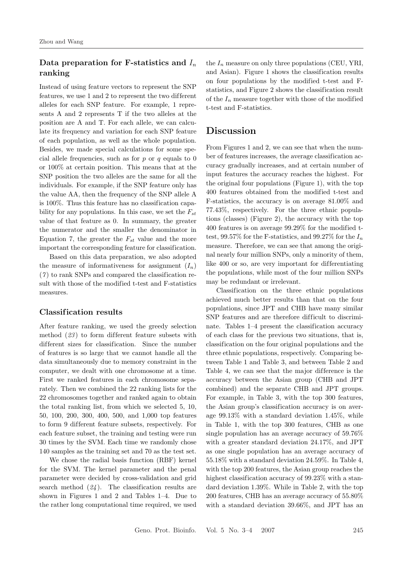## Data preparation for F-statistics and  $I_n$ **ranking**

Instead of using feature vectors to represent the SNP features, we use 1 and 2 to represent the two different alleles for each SNP feature. For example, 1 represents A and 2 represents T if the two alleles at the position are A and T. For each allele, we can calculate its frequency and variation for each SNP feature of each population, as well as the whole population. Besides, we made special calculations for some special allele frequencies, such as for  $p$  or  $q$  equals to 0 or 100% at certain position. This means that at the SNP position the two alleles are the same for all the individuals. For example, if the SNP feature only has the value AA, then the frequency of the SNP allele A is 100%. Thus this feature has no classification capability for any populations. In this case, we set the  $F_{st}$ value of that feature as 0. In summary, the greater the numerator and the smaller the denominator in Equation 7, the greater the  $F_{st}$  value and the more important the corresponding feature for classification.

Based on this data preparation, we also adopted the measure of informativeness for assignment  $(I_n)$ (*7* ) to rank SNPs and compared the classification result with those of the modified t-test and F-statistics measures.

#### **Classif ication results**

After feature ranking, we used the greedy selection method (23) to form different feature subsets with different sizes for classification. Since the number of features is so large that we cannot handle all the data simultaneously due to memory constraint in the computer, we dealt with one chromosome at a time. First we ranked features in each chromosome separately. Then we combined the 22 ranking lists for the 22 chromosomes together and ranked again to obtain the total ranking list, from which we selected 5, 10, 50, 100, 200, 300, 400, 500, and 1,000 top features to form 9 dif ferent feature subsets, respectively. For each feature subset, the training and testing were run 30 times by the SVM. Each time we randomly chose 140 samples as the training set and 70 as the test set.

We chose the radial basis function (RBF) kernel for the SVM. The kernel parameter and the penal parameter were decided by cross-validation and grid search method (*24* ). The classification results are shown in Figures 1 and 2 and Tables 1–4. Due to the rather long computational time required, we used

the  $I_n$  measure on only three populations (CEU, YRI, and Asian). Figure 1 shows the classification results on four populations by the modified t-test and Fstatistics, and Figure 2 shows the classification result of the  $I_n$  measure together with those of the modified t-test and F-statistics.

### **Discussion**

From Figures 1 and 2, we can see that when the number of features increases, the average classification accuracy gradually increases, and at certain number of input features the accuracy reaches the highest. For the original four populations (Figure 1), with the top 400 features obtained from the modified t-test and F-statistics, the accuracy is on average 81.00% and 77.43%, respectively. For the three ethnic populations (classes) (Figure 2), the accuracy with the top 400 features is on average 99.29% for the modified ttest, 99.57% for the F-statistics, and 99.27% for the  $I_n$ measure. Therefore, we can see that among the original nearly four million SNPs, only a minority of them, like 400 or so, are very important for differentiating the populations, while most of the four million SNPs may be redundant or irrelevant.

Classification on the three ethnic populations achieved much better results than that on the four populations, since JPT and CHB have many similar SNP features and are therefore difficult to discriminate. Tables 1–4 present the classification accuracy of each class for the previous two situations, that is, classification on the four original populations and the three ethnic populations, respectively. Comparing between Table 1 and Table 3, and between Table 2 and Table 4, we can see that the major difference is the accuracy between the Asian group (CHB and JPT combined) and the separate CHB and JPT groups. For example, in Table 3, with the top 300 features, the Asian group's classification accuracy is on average 99.13% with a standard deviation 1.45%, while in Table 1, with the top 300 features, CHB as one single population has an average accuracy of 59.76% with a greater standard deviation 24.17%, and JPT as one single population has an average accuracy of 55.18% with a standard deviation 24.59%. In Table 4, with the top 200 features, the Asian group reaches the highest classification accuracy of 99.23% with a standard deviation 1.39%. While in Table 2, with the top 200 features, CHB has an average accuracy of 55.80% with a standard deviation 39.66%, and JPT has an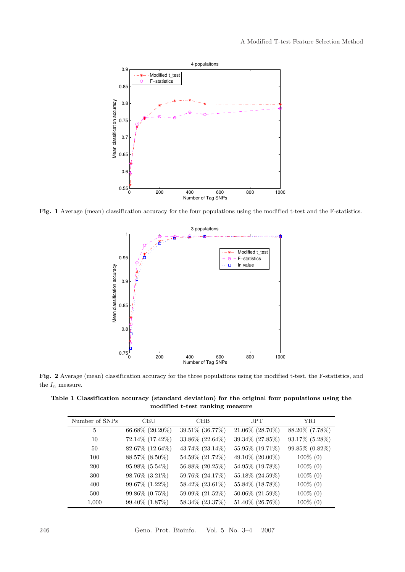

**Fig. 1** Average (mean) classification accuracy for the four populations using the modified t-test and the F-statistics.



**Fig. 2** Average (mean) classification accuracy for the three populations using the modified t-test, the F-statistics, and the  $I_n$  measure.

Table 1 Classification accuracy (standard deviation) for the original four populations using the **modif ied t-test ranking measure**

| Number of SNPs | <b>CEU</b>      | <b>CHB</b>      | <b>JPT</b>        | YRI            |
|----------------|-----------------|-----------------|-------------------|----------------|
| 5              | 66.68% (20.20%) | 39.51% (36.77%) | 21.06% (28.70%)   | 88.20% (7.78%) |
| 10             | 72.14% (17.42%) | 33.86% (22.64%) | 39.34% (27.85%)   | 93.17% (5.28%) |
| 50             | 82.67% (12.64%) | 43.74% (23.14%) | 55.95% (19.71%)   | 99.85% (0.82%) |
| 100            | 88.57% (8.50%)  | 54.59% (21.72%) | 49.10% (20.00%)   | $100\%$ (0)    |
| <b>200</b>     | 95.98% (5.54%)  | 56.88% (20.25%) | 54.95% (19.78%)   | $100\%$ (0)    |
| 300            | 98.76% (3.21%)  | 59.76% (24.17%) | 55.18% (24.59%)   | $100\%$ (0)    |
| 400            | 99.67% (1.22%)  | 58.42% (23.61%) | 55.84\% (18.78\%) | $100\%$ (0)    |
| 500            | 99.86% (0.75%)  | 59.09% (21.52%) | 50.06% (21.59%)   | $100\%$ (0)    |
| 1,000          | 99.40% (1.87%)  | 58.34% (23.37%) | 51.40\% (26.76\%) | 100% (0)       |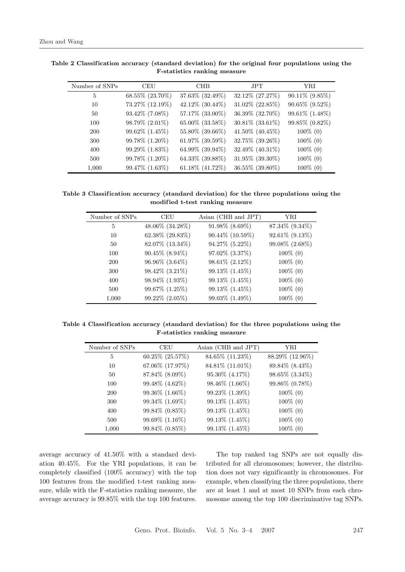| Number of SNPs | <b>CEU</b>            | <b>CHB</b>      | <b>JPT</b>         | YRI                  |
|----------------|-----------------------|-----------------|--------------------|----------------------|
| $\mathbf{5}$   | $68.55\%$ $(23.70\%)$ | 37.63% (32.49%) | 32.12% (27.27%)    | $90.11\%$ $(9.85\%)$ |
| 10             | 73.27% (12.19%)       | 42.12% (30.44%) | 31.02% (22.85%)    | 90.65% (9.52%)       |
| 50             | 93.42\% (7.08\%)      | 57.17% (33.00%) | 36.39% (32.70%)    | 99.61% (1.48%)       |
| 100            | 98.79% (2.01%)        | 65.00% (33.58%) | $30.81\%$ (33.61%) | 99.85% (0.82%)       |
| 200            | 99.62\% (1.45\%)      | 55.80% (39.66%) | 41.50% (40.45%)    | $100\%$ (0)          |
| 300            | 99.78% (1.20%)        | 61.97% (39.59%) | 32.75% (39.26%)    | $100\%$ (0)          |
| 400            | 99.29% (1.83%)        | 64.99% (39.94%) | 32.49% (40.31%)    | $100\%$ (0)          |
| 500            | 99.78% (1.20%)        | 64.33% (39.88%) | 31.95% (39.30%)    | $100\%$ (0)          |
| 1,000          | 99.47% (1.63%)        | 61.18% (41.72%) | 36.55% (39.80%)    | $100\%$ (0)          |

Table 2 Classification accuracy (standard deviation) for the original four populations using the **F-statistics ranking measure**

Table 3 Classification accuracy (standard deviation) for the three populations using the **modif ied t-test ranking measure**

| Number of SNPs | CEU              | Asian (CHB and JPT) | YRI              |
|----------------|------------------|---------------------|------------------|
| 5              | 48.06% (34.28%)  | 91.98% (8.69%)      | 87.34\% (9.34\%) |
| 10             | 62.38% (29.83%)  | 90.44% (10.59%)     | 92.61% (9.13%)   |
| 50             | 82.07% (13.34%)  | 94.27% (5.22%)      | 99.08% (2.68%)   |
| 100            | 90.45% (8.94%)   | 97.02% (3.37%)      | $100\%$ (0)      |
| 200            | 96.96% (3.64%)   | 98.61% (2.12%)      | $100\%$ (0)      |
| 300            | 98.42\% (3.21\%) | 99.13% (1.45%)      | $100\%$ (0)      |
| 400            | 98.94% (1.93%)   | 99.13% (1.45%)      | $100\%$ (0)      |
| 500            | 99.67% (1.25%)   | 99.13% (1.45%)      | $100\%$ (0)      |
| 1,000          | 99.22% (2.05%)   | 99.03% (1.49%)      | $100\%$ (0)      |

Table 4 Classification accuracy (standard deviation) for the three populations using the **F-statistics ranking measure**

| Number of SNPs | CEU             | Asian (CHB and JPT) | YRI             |
|----------------|-----------------|---------------------|-----------------|
| 5              | 60.25% (25.57%) | 84.65% (11.23%)     | 88.29% (12.96%) |
| 10             | 67.06% (17.97%) | 84.81% (11.01%)     | 89.84% (8.43%)  |
| 50             | 87.84% (8.09%)  | 95.30% (4.17%)      | 98.65% (3.34%)  |
| 100            | 99.48% (4.62%)  | 98.46% (1.66%)      | 99.86% (0.78%)  |
| 200            | 99.36% (1.66%)  | 99.23% (1.39%)      | $100\%$ (0)     |
| 300            | 99.34% (1.69%)  | 99.13% (1.45%)      | $100\%$ (0)     |
| 400            | 99.84% (0.85%)  | 99.13% (1.45%)      | $100\%$ (0)     |
| 500            | 99.69% (1.16%)  | 99.13% (1.45%)      | $100\%$ (0)     |
| 1,000          | 99.84% (0.85%)  | 99.13% (1.45%)      | 100% (0)        |

average accuracy of 41.50% with a standard deviation 40.45%. For the YRI populations, it can be completely classified (100% accuracy) with the top 100 features from the modified t-test ranking measure, while with the F-statistics ranking measure, the average accuracy is 99.85% with the top 100 features.

The top ranked tag SNPs are not equally distributed for all chromosomes; however, the distribution does not vary significantly in chromosomes. For example, when classifying the three populations, there are at least 1 and at most 10 SNPs from each chromosome among the top 100 discriminative tag SNPs.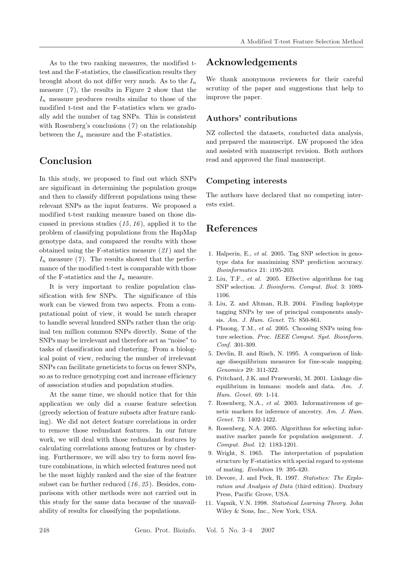As to the two ranking measures, the modified ttest and the F-statistics, the classification results they brought about do not differ very much. As to the  $I_n$ measure (*7* ), the results in Figure 2 show that the  $I_n$  measure produces results similar to those of the modified t-test and the F-statistics when we gradually add the number of tag SNPs. This is consistent with Rosenberg's conclusions (7) on the relationship between the  $I_n$  measure and the F-statistics.

## **Conclusion**

In this study, we proposed to find out which SNPs are significant in determining the population groups and then to classify different populations using these relevant SNPs as the input features. We proposed a modified t-test ranking measure based on those discussed in previous studies (*15* , *16* ), applied it to the problem of classifying populations from the HapMap genotype data, and compared the results with those obtained using the F-statistics measure (*21* ) and the  $I_n$  measure (7). The results showed that the performance of the modified t-test is comparable with those of the F-statistics and the  $I_n$  measure.

It is very important to realize population classification with few SNPs. The significance of this work can be viewed from two aspects. From a computational point of view, it would be much cheaper to handle several hundred SNPs rather than the original ten million common SNPs directly. Some of the SNPs may be irrelevant and therefore act as "noise" to tasks of classification and clustering. From a biological point of view, reducing the number of irrelevant SNPs can facilitate geneticists to focus on fewer SNPs, so as to reduce genotyping cost and increase ef ficiency of association studies and population studies.

At the same time, we should notice that for this application we only did a coarse feature selection (greedy selection of feature subsets after feature ranking). We did not detect feature correlations in order to remove those redundant features. In our future work, we will deal with those redundant features by calculating correlations among features or by clustering. Furthermore, we will also try to form novel feature combinations, in which selected features need not be the most highly ranked and the size of the feature subset can be further reduced (*16* , *25* ). Besides, comparisons with other methods were not carried out in this study for the same data because of the unavailability of results for classifying the populations.

## **Acknowledgements**

We thank anonymous reviewers for their careful scrutiny of the paper and suggestions that help to improve the paper.

#### **Authors' contributions**

NZ collected the datasets, conducted data analysis, and prepared the manuscript. LW proposed the idea and assisted with manuscript revision. Both authors read and approved the final manuscript.

#### **Competing interests**

The authors have declared that no competing interests exist.

### **References**

- 1. Halperin, E., *et al.* 2005. Tag SNP selection in genotype data for maximizing SNP prediction accuracy. *Bioinformatics* 21: i195-203.
- 2. Liu, T.F., *et al.* 2005. Effective algorithms for tag SNP selection. *J. Bioinform. Comput. Biol.* 3: 1089- 1106.
- 3. Liu, Z. and Altman, R.B. 2004. Finding haplotype tagging SNPs by use of principal components analysis. *Am. J. Hum. Genet.* 75: 850-861.
- 4. Phuong, T.M., *et al.* 2005. Choosing SNPs using feature selection. *Proc. IEEE Comput. Syst. Bioinform. Conf.* 301-309.
- 5. Devlin, B. and Risch, N. 1995. A comparison of linkage disequilibrium measures for fine-scale mapping. *Genomics* 29: 311-322.
- 6. Pritchard, J.K. and Przeworski, M. 2001. Linkage disequilibrium in humans: models and data. *Am. J. Hum. Genet.* 69: 1-14.
- 7. Rosenberg, N.A., *et al.* 2003. Informativeness of genetic markers for inference of ancestry. *Am. J. Hum. Genet.* 73: 1402-1422.
- 8. Rosenberg, N.A. 2005. Algorithms for selecting informative marker panels for population assignment. *J. Comput. Biol.* 12: 1183-1201.
- 9. Wright, S. 1965. The interpretation of population structure by F-statistics with special regard to systems of mating. *Evolution* 19: 395-420.
- 10. Devore, J. and Peck, R. 1997. *Statistics: The Exploration and Analysis of Data* (third edition). Duxbury Press, Pacific Grove, USA.
- 11. Vapnik, V.N. 1998. *Statistical Learning Theory*. John Wiley & Sons, Inc., New York, USA.